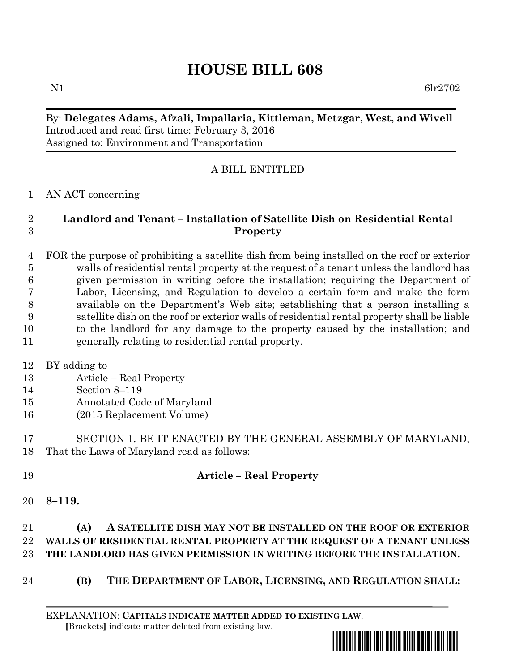# **HOUSE BILL 608**

N1 6lr2702

## By: **Delegates Adams, Afzali, Impallaria, Kittleman, Metzgar, West, and Wivell** Introduced and read first time: February 3, 2016 Assigned to: Environment and Transportation

## A BILL ENTITLED

#### AN ACT concerning

#### **Landlord and Tenant – Installation of Satellite Dish on Residential Rental Property**

 FOR the purpose of prohibiting a satellite dish from being installed on the roof or exterior walls of residential rental property at the request of a tenant unless the landlord has given permission in writing before the installation; requiring the Department of Labor, Licensing, and Regulation to develop a certain form and make the form available on the Department's Web site; establishing that a person installing a satellite dish on the roof or exterior walls of residential rental property shall be liable to the landlord for any damage to the property caused by the installation; and generally relating to residential rental property.

- BY adding to
- Article Real Property
- Section 8–119
- Annotated Code of Maryland
- (2015 Replacement Volume)

## SECTION 1. BE IT ENACTED BY THE GENERAL ASSEMBLY OF MARYLAND, That the Laws of Maryland read as follows:

- **Article – Real Property**
- **8–119.**

#### **(A) A SATELLITE DISH MAY NOT BE INSTALLED ON THE ROOF OR EXTERIOR WALLS OF RESIDENTIAL RENTAL PROPERTY AT THE REQUEST OF A TENANT UNLESS THE LANDLORD HAS GIVEN PERMISSION IN WRITING BEFORE THE INSTALLATION.**

**(B)** THE DEPARTMENT OF LABOR, LICENSING, AND REGULATION SHALL:

EXPLANATION: **CAPITALS INDICATE MATTER ADDED TO EXISTING LAW**.  **[**Brackets**]** indicate matter deleted from existing law.